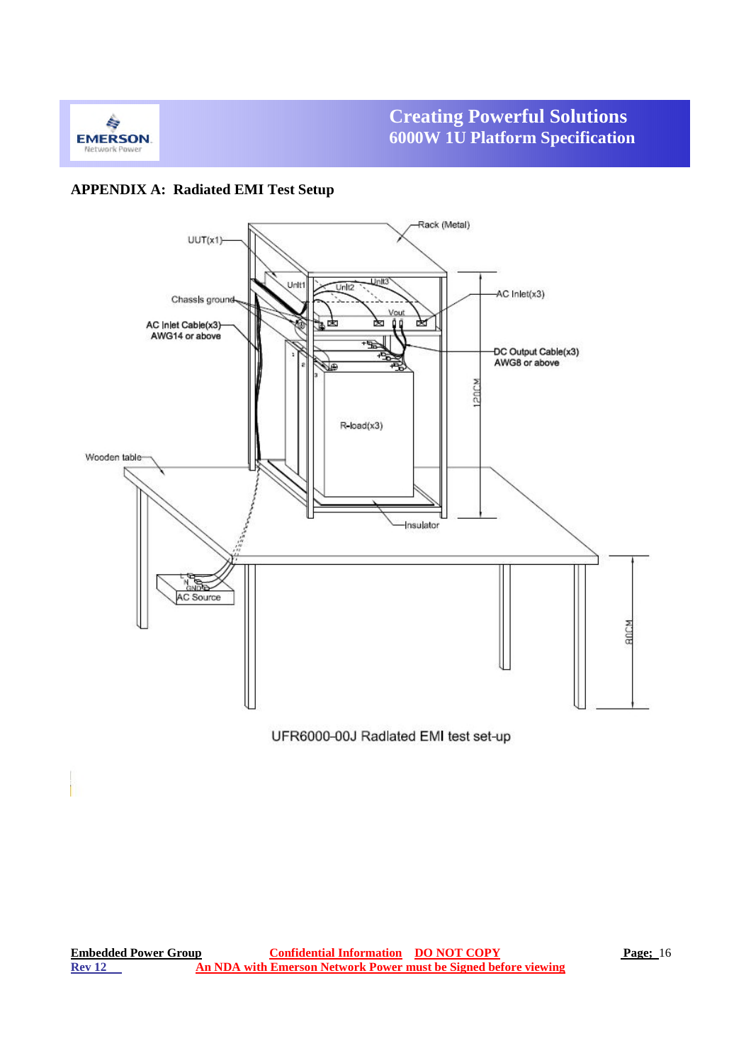

## **APPENDIX A: Radiated EMI Test Setup**

**850W**

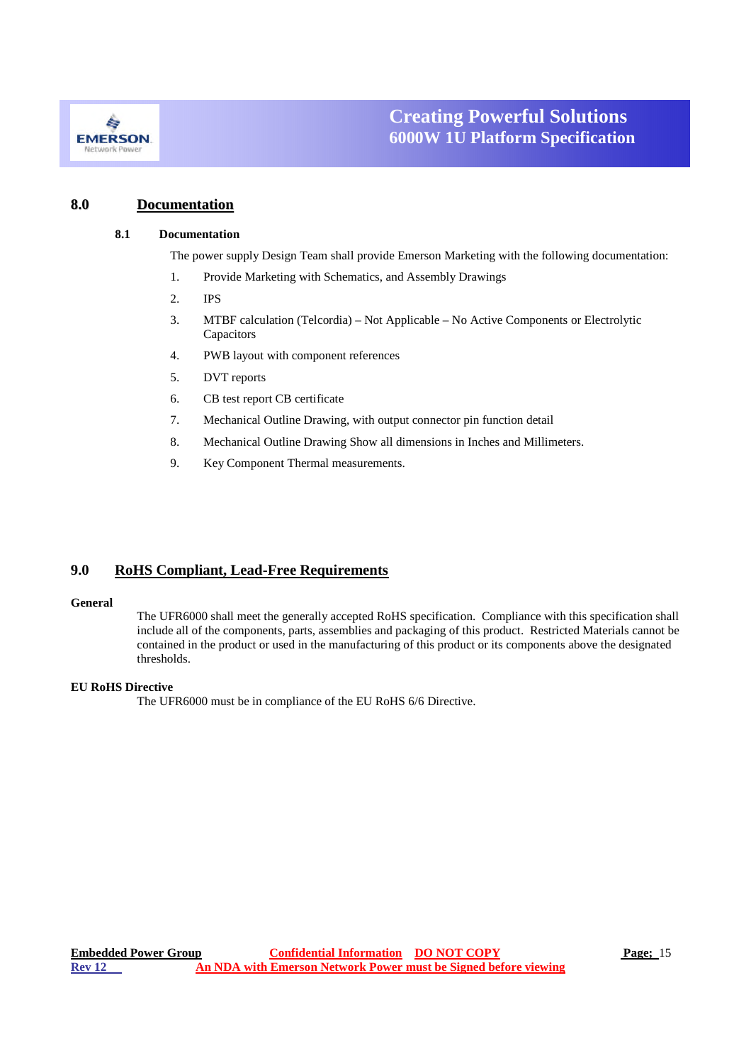

### **8.0 Documentation**

#### **8.1 Documentation**

The power supply Design Team shall provide Emerson Marketing with the following documentation:

- 1. Provide Marketing with Schematics, and Assembly Drawings
- 2. IPS
- 3. MTBF calculation (Telcordia) Not Applicable No Active Components or Electrolytic Capacitors
- 4. PWB layout with component references

**850W**

- 5. DVT reports
- 6. CB test report CB certificate
- 7. Mechanical Outline Drawing, with output connector pin function detail
- 8. Mechanical Outline Drawing Show all dimensions in Inches and Millimeters.
- 9. Key Component Thermal measurements.

### **9.0 RoHS Compliant, Lead-Free Requirements**

#### **General**

The UFR6000 shall meet the generally accepted RoHS specification. Compliance with this specification shall include all of the components, parts, assemblies and packaging of this product. Restricted Materials cannot be contained in the product or used in the manufacturing of this product or its components above the designated thresholds.

#### **EU RoHS Directive**

The UFR6000 must be in compliance of the EU RoHS 6/6 Directive.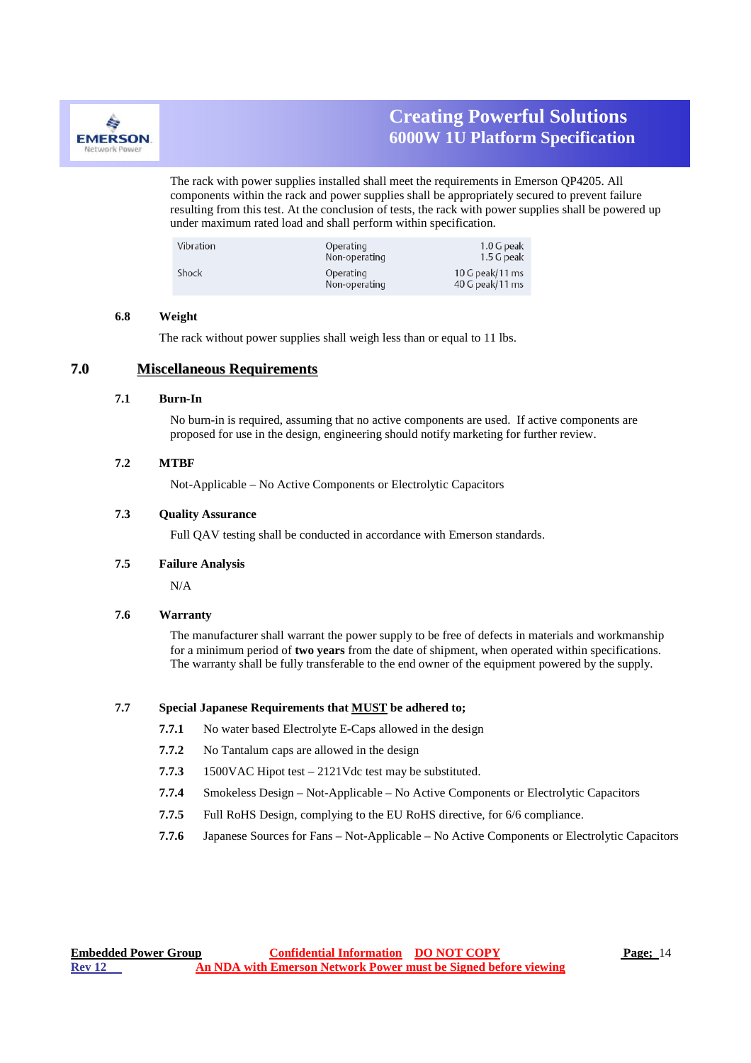

The rack with power supplies installed shall meet the requirements in Emerson QP4205. All components within the rack and power supplies shall be appropriately secured to prevent failure resulting from this test. At the conclusion of tests, the rack with power supplies shall be powered up under maximum rated load and shall perform within specification.

| Vibration | Operating<br>Non-operating | 1.0 G peak<br>1.5 G peak           |
|-----------|----------------------------|------------------------------------|
| Shock     | Operating<br>Non-operating | 10 G peak/11 ms<br>40 G peak/11 ms |

**850W**

#### **6.8 Weight**

The rack without power supplies shall weigh less than or equal to 11 lbs.

### **7.0 Miscellaneous Requirements**

#### **7.1 Burn-In**

No burn-in is required, assuming that no active components are used. If active components are proposed for use in the design, engineering should notify marketing for further review.

#### **7.2 MTBF**

Not-Applicable – No Active Components or Electrolytic Capacitors

#### **7.3 Quality Assurance**

Full QAV testing shall be conducted in accordance with Emerson standards.

#### **7.5 Failure Analysis**

N/A

#### **7.6 Warranty**

The manufacturer shall warrant the power supply to be free of defects in materials and workmanship for a minimum period of **two years** from the date of shipment, when operated within specifications. The warranty shall be fully transferable to the end owner of the equipment powered by the supply.

#### **7.7 Special Japanese Requirements that MUST be adhered to;**

- **7.7.1** No water based Electrolyte E-Caps allowed in the design
- **7.7.2** No Tantalum caps are allowed in the design
- **7.7.3** 1500VAC Hipot test 2121Vdc test may be substituted.
- **7.7.4** Smokeless Design Not-Applicable No Active Components or Electrolytic Capacitors
- **7.7.5** Full RoHS Design, complying to the EU RoHS directive, for 6/6 compliance.
- **7.7.6** Japanese Sources for Fans Not-Applicable No Active Components or Electrolytic Capacitors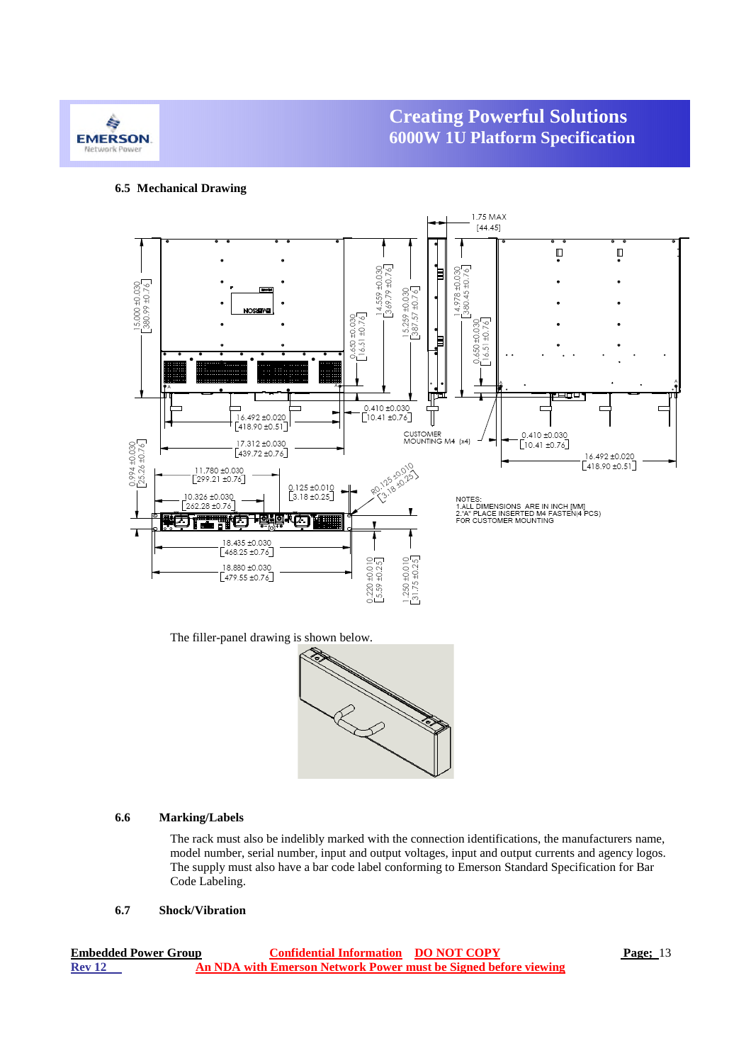

#### **6.5 Mechanical Drawing**

**850W**



The filler-panel drawing is shown below.



#### **6.6 Marking/Labels**

The rack must also be indelibly marked with the connection identifications, the manufacturers name, model number, serial number, input and output voltages, input and output currents and agency logos. The supply must also have a bar code label conforming to Emerson Standard Specification for Bar Code Labeling.

#### **6.7 Shock/Vibration**

| <b>Embedded Power Group</b> | <b>Confidential Information DO NOT COPY</b>                     | <b>Page</b> ; 13 |
|-----------------------------|-----------------------------------------------------------------|------------------|
| <b>Rev 12</b>               | An NDA with Emerson Network Power must be Signed before viewing |                  |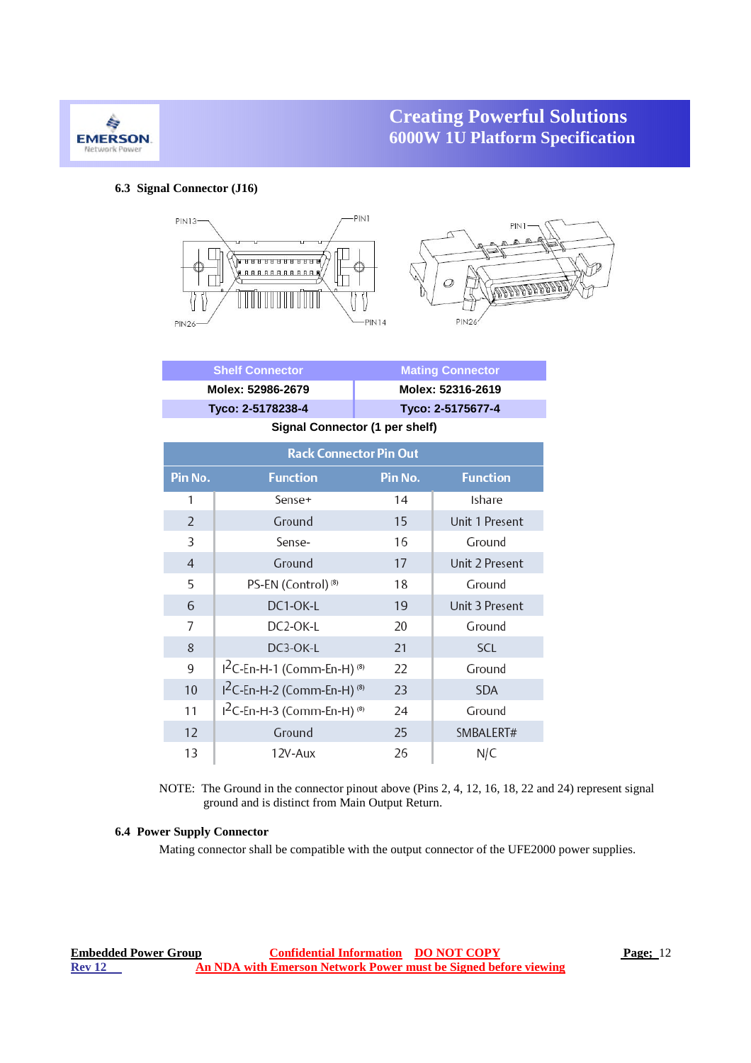

### **6.3 Signal Connector (J16)**

**850W**



|                | <b>Shelf Connector</b>                             | <b>Mating Connector</b> |                   |  |  |  |  |  |
|----------------|----------------------------------------------------|-------------------------|-------------------|--|--|--|--|--|
|                | Molex: 52986-2679                                  | Molex: 52316-2619       |                   |  |  |  |  |  |
|                | Tyco: 2-5178238-4                                  |                         | Tyco: 2-5175677-4 |  |  |  |  |  |
|                | Signal Connector (1 per shelf)                     |                         |                   |  |  |  |  |  |
|                | <b>Rack Connector Pin Out</b>                      |                         |                   |  |  |  |  |  |
| Pin No.        | <b>Function</b>                                    | Pin No.                 | <b>Function</b>   |  |  |  |  |  |
| 1              | Sense+                                             | 14                      | Ishare            |  |  |  |  |  |
| 2              | Ground                                             | 15                      | Unit 1 Present    |  |  |  |  |  |
| 3              | Sense-                                             | 16                      | Ground            |  |  |  |  |  |
| $\overline{4}$ | Ground                                             | 17                      | Unit 2 Present    |  |  |  |  |  |
| 5              | PS-EN (Control) <sup>(8)</sup>                     | 18                      | Ground            |  |  |  |  |  |
| 6              | DC1-OK-L                                           | 19                      | Unit 3 Present    |  |  |  |  |  |
| 7              | DC2-OK-L                                           | 20                      | Ground            |  |  |  |  |  |
| 8              | DC3-OK-L                                           | 21                      | SCL               |  |  |  |  |  |
| 9              | <sup>2</sup> C-En-H-1 (Comm-En-H) <sup>(8)</sup>   | 22                      | Ground            |  |  |  |  |  |
| 10             | I <sup>2</sup> C-En-H-2 (Comm-En-H) <sup>(8)</sup> | 23                      | <b>SDA</b>        |  |  |  |  |  |
| 11             | <sup>12</sup> C-En-H-3 (Comm-En-H) <sup>(8)</sup>  | 24                      | Ground            |  |  |  |  |  |
| 12             | Ground                                             | 25                      | SMBALERT#         |  |  |  |  |  |
| 13             | 12V-Aux                                            | 26                      | N/C               |  |  |  |  |  |

NOTE: The Ground in the connector pinout above (Pins 2, 4, 12, 16, 18, 22 and 24) represent signal ground and is distinct from Main Output Return.

#### **6.4 Power Supply Connector**

Mating connector shall be compatible with the output connector of the UFE2000 power supplies.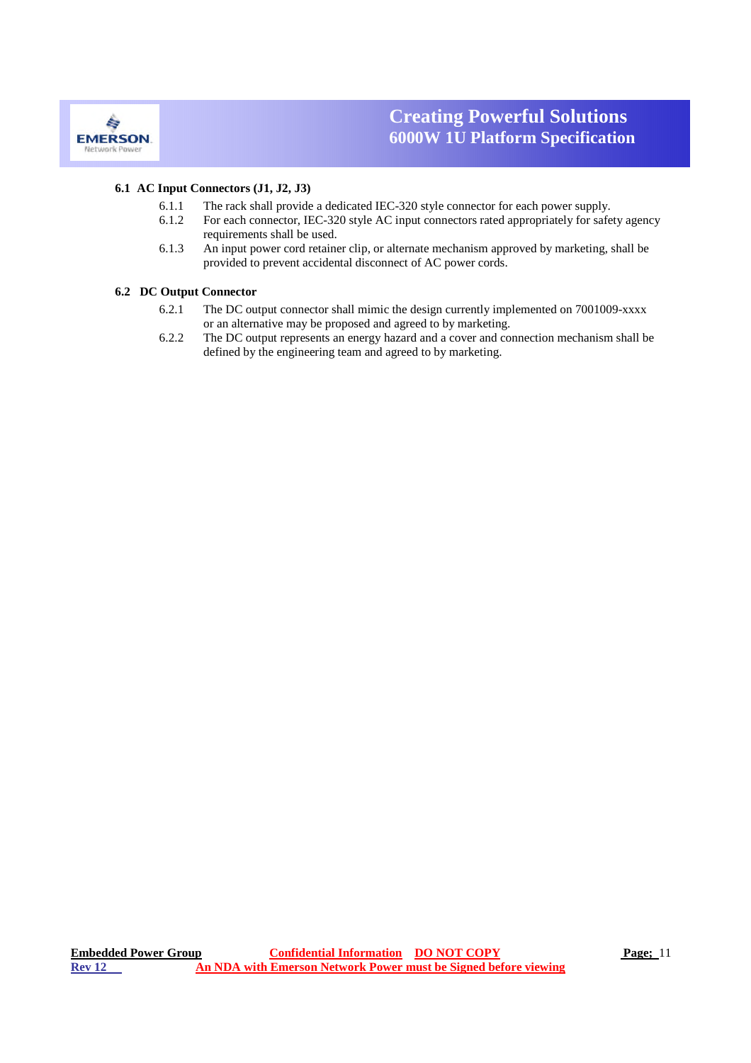

#### **6.1 AC Input Connectors (J1, J2, J3)**

**850W**

- 6.1.1 The rack shall provide a dedicated IEC-320 style connector for each power supply.
- 6.1.2 For each connector, IEC-320 style AC input connectors rated appropriately for safety agency requirements shall be used.
- 6.1.3 An input power cord retainer clip, or alternate mechanism approved by marketing, shall be provided to prevent accidental disconnect of AC power cords.

#### **6.2 DC Output Connector**

- 6.2.1 The DC output connector shall mimic the design currently implemented on 7001009-xxxx or an alternative may be proposed and agreed to by marketing.
- 6.2.2 The DC output represents an energy hazard and a cover and connection mechanism shall be defined by the engineering team and agreed to by marketing.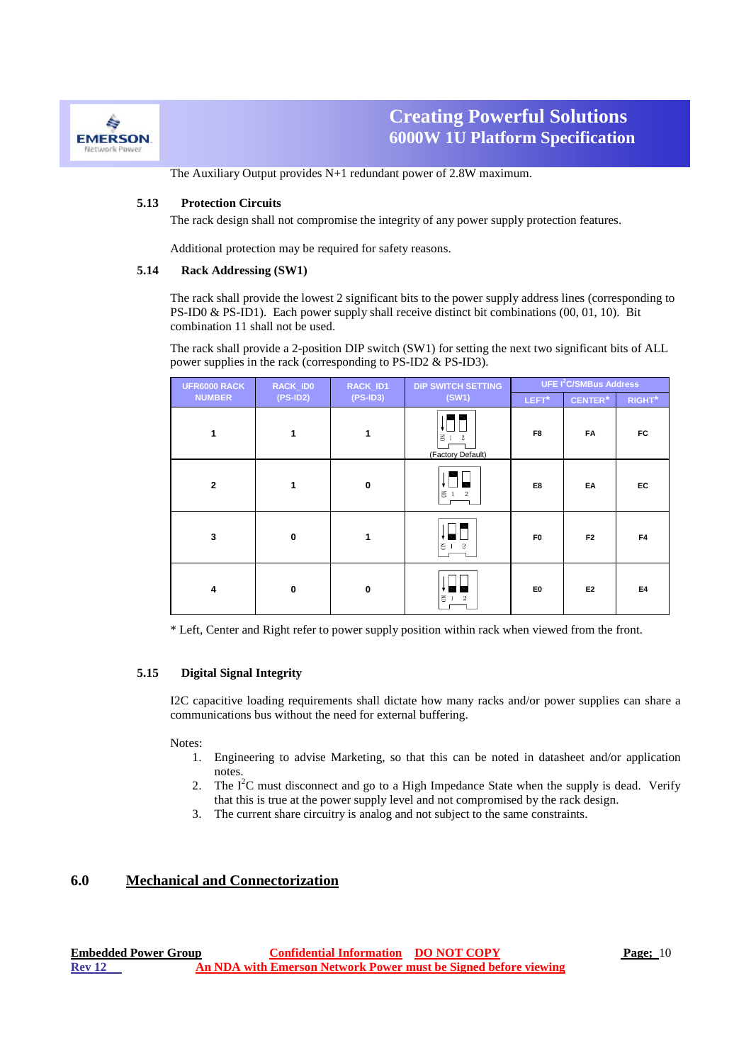

**850W** The Auxiliary Output provides N+1 redundant power of 2.8W maximum.

#### **5.13 Protection Circuits**

The rack design shall not compromise the integrity of any power supply protection features.

Additional protection may be required for safety reasons.

#### **5.14 Rack Addressing (SW1)**

The rack shall provide the lowest 2 significant bits to the power supply address lines (corresponding to PS-ID0 & PS-ID1). Each power supply shall receive distinct bit combinations (00, 01, 10). Bit combination 11 shall not be used.

The rack shall provide a 2-position DIP switch (SW1) for setting the next two significant bits of ALL power supplies in the rack (corresponding to PS-ID2 & PS-ID3).

| UFR6000 RACK            | RACK_ID0    | RACK_ID1     | <b>DIP SWITCH SETTING</b>              |                | <b>UFE I<sup>2</sup>C/SMBus Address</b> |                    |
|-------------------------|-------------|--------------|----------------------------------------|----------------|-----------------------------------------|--------------------|
| <b>NUMBER</b>           | $(PS-ID2)$  | $(PS-ID3)$   | (SW1)                                  | LEFT*          | <b>CENTER*</b>                          | RIGHT <sup>*</sup> |
| 1                       | 1           | $\mathbf{1}$ | $\leq$<br>$\,2\,$<br>(Factory Default) | F <sub>8</sub> | <b>FA</b>                               | FC                 |
| $\overline{2}$          | 1           | $\mathbf{0}$ | $\leq 1$<br>$\overline{\mathbf{2}}$    | E8             | EA                                      | EC                 |
| $\overline{\mathbf{3}}$ | $\mathbf 0$ | 1            | $\leq 1$ 2                             | F <sub>0</sub> | F <sub>2</sub>                          | F4                 |
| $\overline{\mathbf{4}}$ | $\mathbf 0$ | $\mathbf{0}$ | $\geq 1$<br>$\,2$                      | E <sub>0</sub> | E <sub>2</sub>                          | E4                 |

\* Left, Center and Right refer to power supply position within rack when viewed from the front.

#### **5.15 Digital Signal Integrity**

I2C capacitive loading requirements shall dictate how many racks and/or power supplies can share a communications bus without the need for external buffering.

#### Notes:

- 1. Engineering to advise Marketing, so that this can be noted in datasheet and/or application notes.
- 2. The  $I^2C$  must disconnect and go to a High Impedance State when the supply is dead. Verify that this is true at the power supply level and not compromised by the rack design.
- 3. The current share circuitry is analog and not subject to the same constraints.

### **6.0 Mechanical and Connectorization**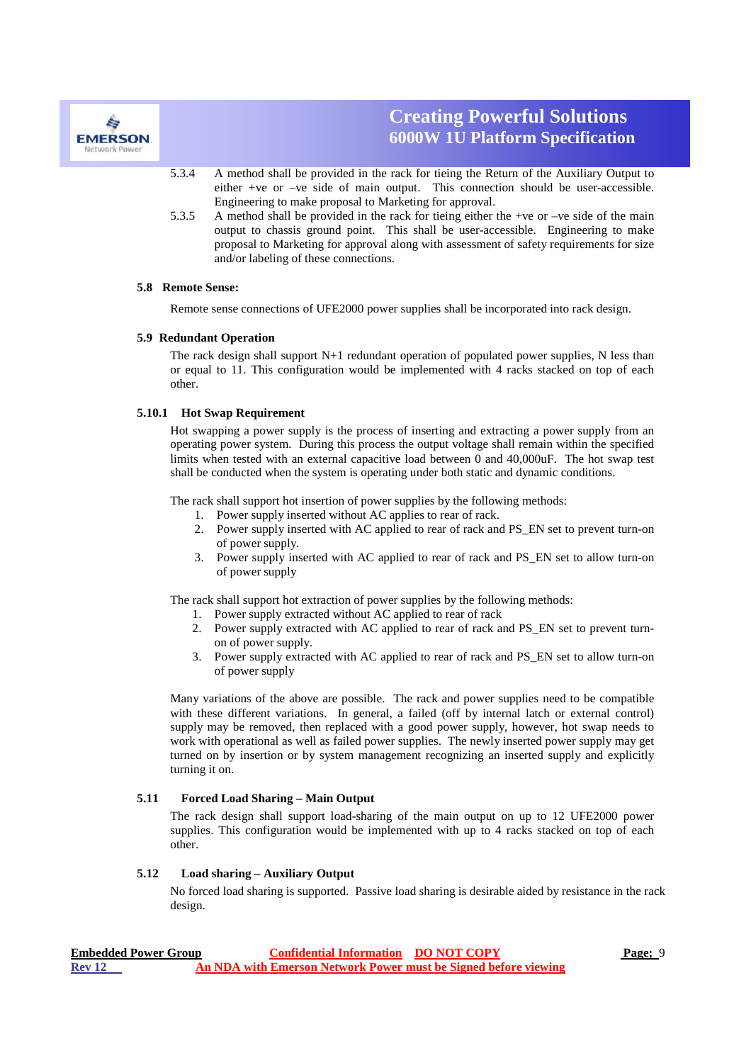

- **850W** 5.3.4 A method shall be provided in the rack for tieing the Return of the Auxiliary Output to either +ve or –ve side of main output. This connection should be user-accessible. Engineering to make proposal to Marketing for approval.
- 5.3.5 A method shall be provided in the rack for tieing either the +ve or –ve side of the main output to chassis ground point. This shall be user-accessible. Engineering to make proposal to Marketing for approval along with assessment of safety requirements for size and/or labeling of these connections.

#### **5.8 Remote Sense:**

Remote sense connections of UFE2000 power supplies shall be incorporated into rack design.

#### **5.9 Redundant Operation**

The rack design shall support N+1 redundant operation of populated power supplies, N less than or equal to 11. This configuration would be implemented with 4 racks stacked on top of each other.

#### **5.10.1 Hot Swap Requirement**

Hot swapping a power supply is the process of inserting and extracting a power supply from an operating power system. During this process the output voltage shall remain within the specified limits when tested with an external capacitive load between 0 and 40,000uF. The hot swap test shall be conducted when the system is operating under both static and dynamic conditions.

The rack shall support hot insertion of power supplies by the following methods:

- 1. Power supply inserted without AC applies to rear of rack.
- 2. Power supply inserted with AC applied to rear of rack and PS\_EN set to prevent turn-on of power supply.
- 3. Power supply inserted with AC applied to rear of rack and PS\_EN set to allow turn-on of power supply

The rack shall support hot extraction of power supplies by the following methods:

- 1. Power supply extracted without AC applied to rear of rack
- 2. Power supply extracted with AC applied to rear of rack and PS\_EN set to prevent turnon of power supply.
- 3. Power supply extracted with AC applied to rear of rack and PS\_EN set to allow turn-on of power supply

Many variations of the above are possible. The rack and power supplies need to be compatible with these different variations. In general, a failed (off by internal latch or external control) supply may be removed, then replaced with a good power supply, however, hot swap needs to work with operational as well as failed power supplies. The newly inserted power supply may get turned on by insertion or by system management recognizing an inserted supply and explicitly turning it on.

#### **5.11 Forced Load Sharing – Main Output**

The rack design shall support load-sharing of the main output on up to 12 UFE2000 power supplies. This configuration would be implemented with up to 4 racks stacked on top of each other.

#### **5.12 Load sharing – Auxiliary Output**

No forced load sharing is supported. Passive load sharing is desirable aided by resistance in the rack design.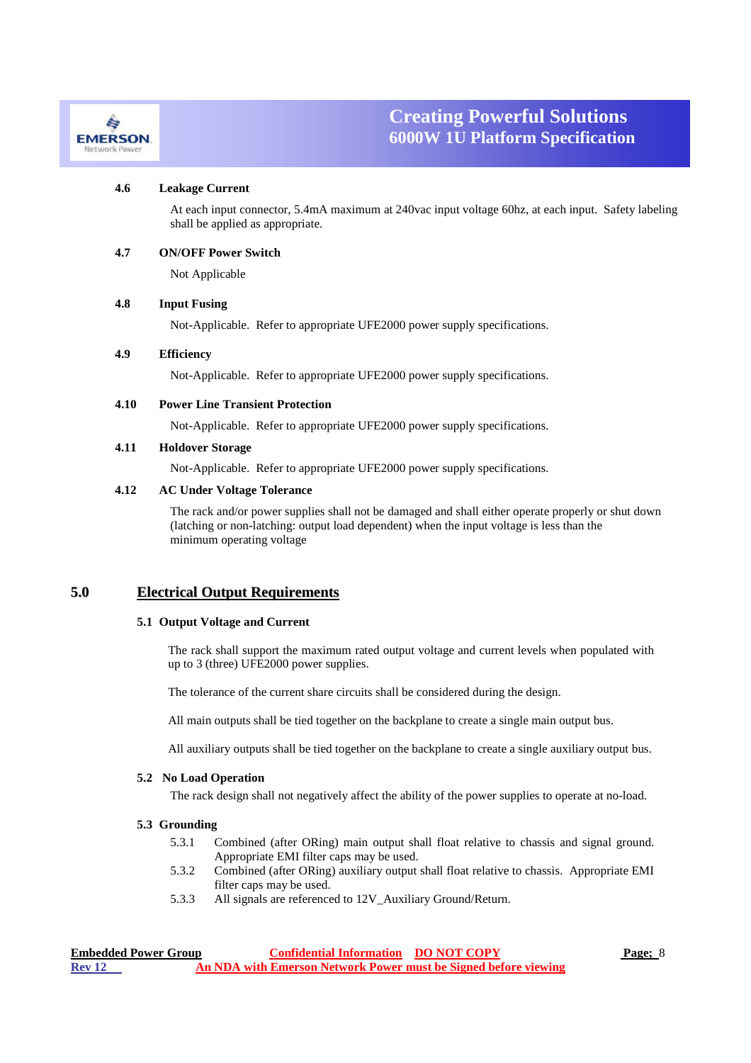

#### **4.6 Leakage Current**

At each input connector, 5.4mA maximum at 240vac input voltage 60hz, at each input. Safety labeling shall be applied as appropriate.

#### **4.7 ON/OFF Power Switch**

Not Applicable

**850W**

#### **4.8 Input Fusing**

Not-Applicable. Refer to appropriate UFE2000 power supply specifications.

#### **4.9 Efficiency**

Not-Applicable. Refer to appropriate UFE2000 power supply specifications.

#### **4.10 Power Line Transient Protection**

Not-Applicable. Refer to appropriate UFE2000 power supply specifications.

#### **4.11 Holdover Storage**

Not-Applicable. Refer to appropriate UFE2000 power supply specifications.

### **4.12 AC Under Voltage Tolerance**

The rack and/or power supplies shall not be damaged and shall either operate properly or shut down (latching or non-latching: output load dependent) when the input voltage is less than the minimum operating voltage

### **5.0 Electrical Output Requirements**

#### **5.1 Output Voltage and Current**

The rack shall support the maximum rated output voltage and current levels when populated with up to 3 (three) UFE2000 power supplies.

The tolerance of the current share circuits shall be considered during the design.

All main outputs shall be tied together on the backplane to create a single main output bus.

All auxiliary outputs shall be tied together on the backplane to create a single auxiliary output bus.

#### **5.2 No Load Operation**

The rack design shall not negatively affect the ability of the power supplies to operate at no-load.

#### **5.3 Grounding**

- 5.3.1 Combined (after ORing) main output shall float relative to chassis and signal ground. Appropriate EMI filter caps may be used.
- 5.3.2 Combined (after ORing) auxiliary output shall float relative to chassis. Appropriate EMI filter caps may be used.
- 5.3.3 All signals are referenced to 12V\_Auxiliary Ground/Return.

| <b>Embedded Power Group</b> | <b>Confidential Information DO NOT COPY</b> |                                                                 | <b>Page</b> ; 8 |
|-----------------------------|---------------------------------------------|-----------------------------------------------------------------|-----------------|
| <b>Rev 12</b>               |                                             | An NDA with Emerson Network Power must be Signed before viewing |                 |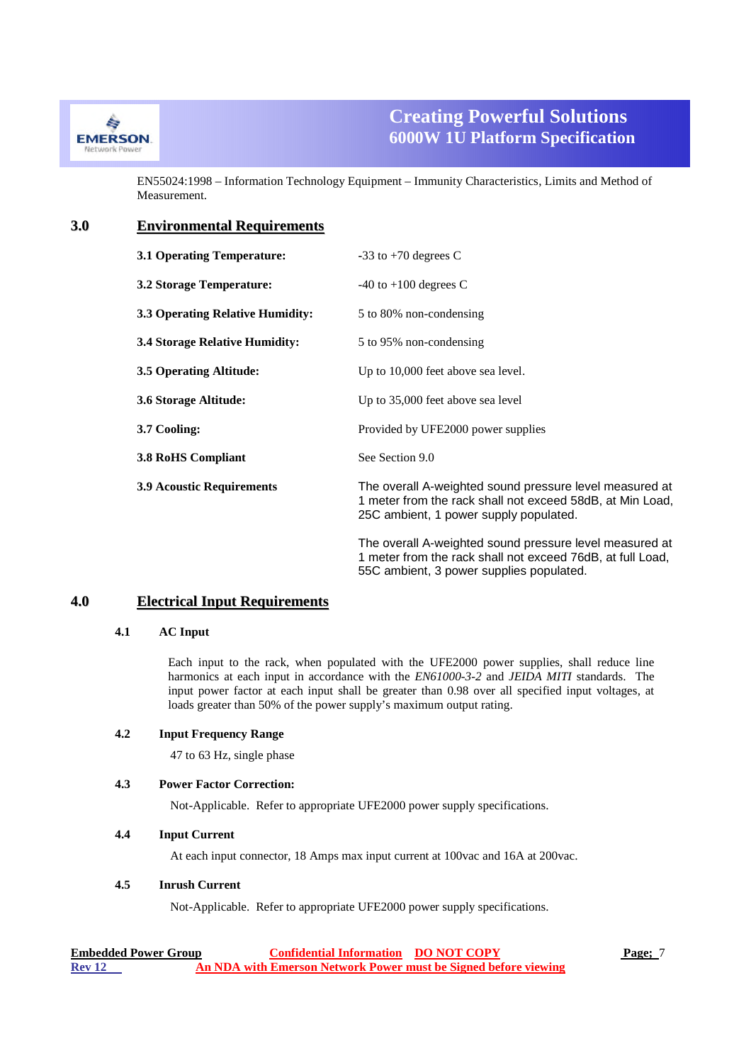

EN55024:1998 – Information Technology Equipment – Immunity Characteristics, Limits and Method of Measurement.

### **3.0 Environmental Requirements**

**850W**

| 3.1 Operating Temperature:              | $-33$ to $+70$ degrees C                                                                                                                                          |
|-----------------------------------------|-------------------------------------------------------------------------------------------------------------------------------------------------------------------|
| 3.2 Storage Temperature:                | $-40$ to $+100$ degrees C                                                                                                                                         |
| <b>3.3 Operating Relative Humidity:</b> | 5 to 80% non-condensing                                                                                                                                           |
| <b>3.4 Storage Relative Humidity:</b>   | 5 to 95% non-condensing                                                                                                                                           |
| 3.5 Operating Altitude:                 | Up to 10,000 feet above sea level.                                                                                                                                |
| 3.6 Storage Altitude:                   | Up to 35,000 feet above sea level                                                                                                                                 |
| 3.7 Cooling:                            | Provided by UFE2000 power supplies                                                                                                                                |
| <b>3.8 RoHS Compliant</b>               | See Section 9.0                                                                                                                                                   |
| <b>3.9 Acoustic Requirements</b>        | The overall A-weighted sound pressure level measured at<br>1 meter from the rack shall not exceed 58dB, at Min Load,<br>25C ambient, 1 power supply populated.    |
|                                         | The overall A-weighted sound pressure level measured at<br>1 meter from the rack shall not exceed 76dB, at full Load,<br>55C ambient, 3 power supplies populated. |

### **4.0 Electrical Input Requirements**

### **4.1 AC Input**

Each input to the rack, when populated with the UFE2000 power supplies, shall reduce line harmonics at each input in accordance with the *EN61000-3-2* and *JEIDA MITI* standards. The input power factor at each input shall be greater than 0.98 over all specified input voltages, at loads greater than 50% of the power supply's maximum output rating.

#### **4.2 Input Frequency Range**

47 to 63 Hz, single phase

### **4.3 Power Factor Correction:**

Not-Applicable. Refer to appropriate UFE2000 power supply specifications.

#### **4.4 Input Current**

At each input connector, 18 Amps max input current at 100vac and 16A at 200vac.

### **4.5 Inrush Current**

Not-Applicable. Refer to appropriate UFE2000 power supply specifications.

| <b>Embedded Power Group</b> | <b>Confidential Information DO NOT COPY</b> |                                                                 | Page; 7 |
|-----------------------------|---------------------------------------------|-----------------------------------------------------------------|---------|
| <b>Rev 12</b>               |                                             | An NDA with Emerson Network Power must be Signed before viewing |         |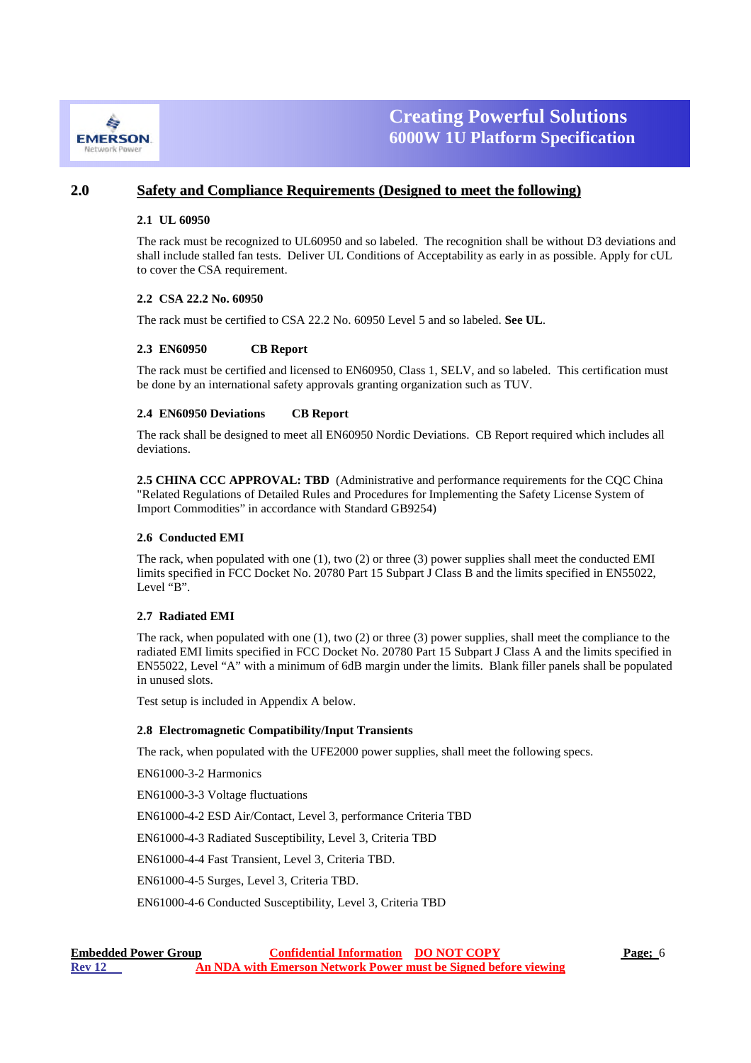

### **2.0 Safety and Compliance Requirements (Designed to meet the following)**

**850W**

#### **2.1 UL 60950**

The rack must be recognized to UL60950 and so labeled. The recognition shall be without D3 deviations and shall include stalled fan tests. Deliver UL Conditions of Acceptability as early in as possible. Apply for cUL to cover the CSA requirement.

#### **2.2 CSA 22.2 No. 60950**

The rack must be certified to CSA 22.2 No. 60950 Level 5 and so labeled. **See UL**.

#### **2.3 EN60950 CB Report**

The rack must be certified and licensed to EN60950, Class 1, SELV, and so labeled. This certification must be done by an international safety approvals granting organization such as TUV.

#### **2.4 EN60950 Deviations CB Report**

The rack shall be designed to meet all EN60950 Nordic Deviations. CB Report required which includes all deviations.

2.5 CHINA CCC APPROVAL: TBD (Administrative and performance requirements for the CQC China "Related Regulations of Detailed Rules and Procedures for Implementing the Safety License System of Import Commodities" in accordance with Standard GB9254)

#### **2.6 Conducted EMI**

The rack, when populated with one (1), two (2) or three (3) power supplies shall meet the conducted EMI limits specified in FCC Docket No. 20780 Part 15 Subpart J Class B and the limits specified in EN55022, Level "B".

#### **2.7 Radiated EMI**

The rack, when populated with one (1), two (2) or three (3) power supplies, shall meet the compliance to the radiated EMI limits specified in FCC Docket No. 20780 Part 15 Subpart J Class A and the limits specified in EN55022, Level "A" with a minimum of 6dB margin under the limits. Blank filler panels shall be populated in unused slots.

Test setup is included in Appendix A below.

#### **2.8 Electromagnetic Compatibility/Input Transients**

The rack, when populated with the UFE2000 power supplies, shall meet the following specs.

EN61000-3-2 Harmonics

EN61000-3-3 Voltage fluctuations

EN61000-4-2 ESD Air/Contact, Level 3, performance Criteria TBD

EN61000-4-3 Radiated Susceptibility, Level 3, Criteria TBD

EN61000-4-4 Fast Transient, Level 3, Criteria TBD.

EN61000-4-5 Surges, Level 3, Criteria TBD.

EN61000-4-6 Conducted Susceptibility, Level 3, Criteria TBD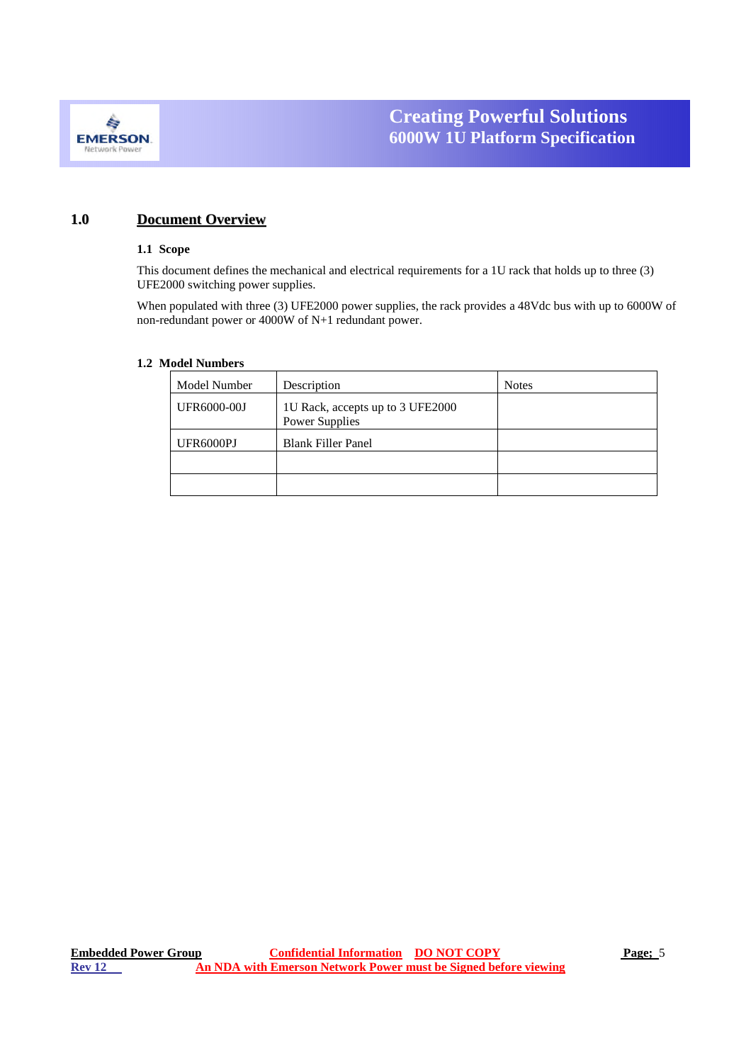

### **1.0 Document Overview**

**850W**

#### **1.1 Scope**

This document defines the mechanical and electrical requirements for a 1U rack that holds up to three (3) UFE2000 switching power supplies.

When populated with three (3) UFE2000 power supplies, the rack provides a 48Vdc bus with up to 6000W of non-redundant power or 4000W of N+1 redundant power.

### **1.2 Model Numbers**

| Model Number | Description                                               | <b>Notes</b> |
|--------------|-----------------------------------------------------------|--------------|
| UFR6000-00J  | 1U Rack, accepts up to 3 UFE2000<br><b>Power Supplies</b> |              |
| UFR6000PJ    | <b>Blank Filler Panel</b>                                 |              |
|              |                                                           |              |
|              |                                                           |              |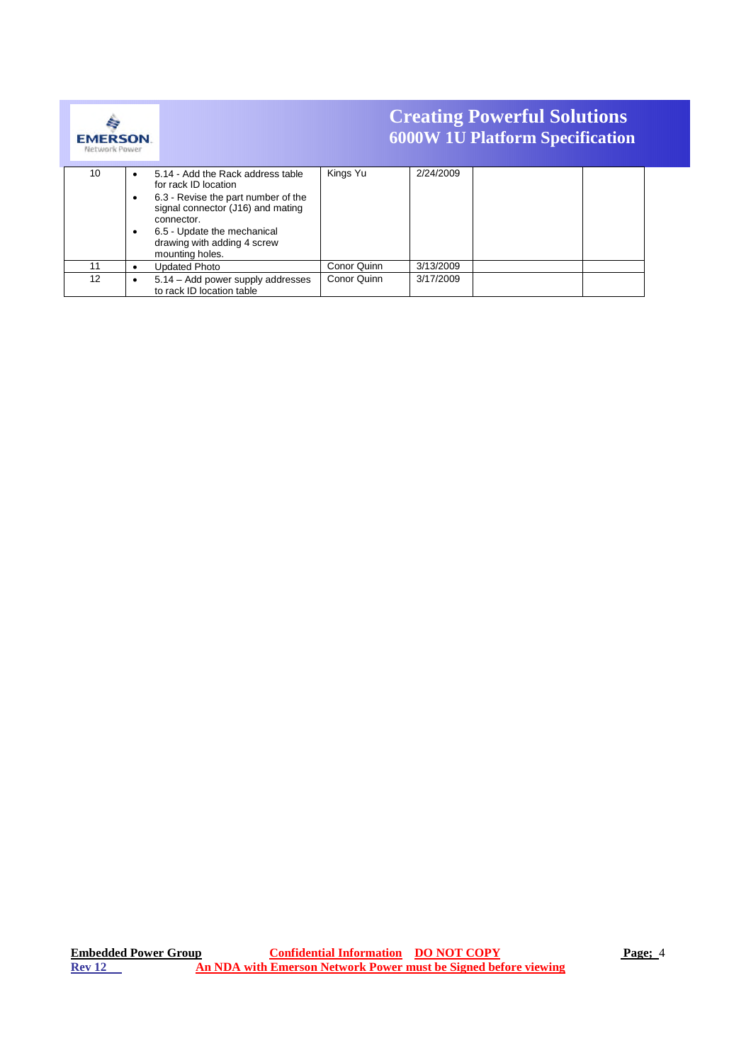

| .  |                                                                                                                                                                         |             |           |
|----|-------------------------------------------------------------------------------------------------------------------------------------------------------------------------|-------------|-----------|
| 10 | 5.14 - Add the Rack address table<br>for rack ID location                                                                                                               | Kings Yu    | 2/24/2009 |
|    | 6.3 - Revise the part number of the<br>signal connector (J16) and mating<br>connector.<br>6.5 - Update the mechanical<br>drawing with adding 4 screw<br>mounting holes. |             |           |
| 11 | <b>Updated Photo</b>                                                                                                                                                    | Conor Quinn | 3/13/2009 |
| 12 | 5.14 - Add power supply addresses<br>to rack ID location table                                                                                                          | Conor Quinn | 3/17/2009 |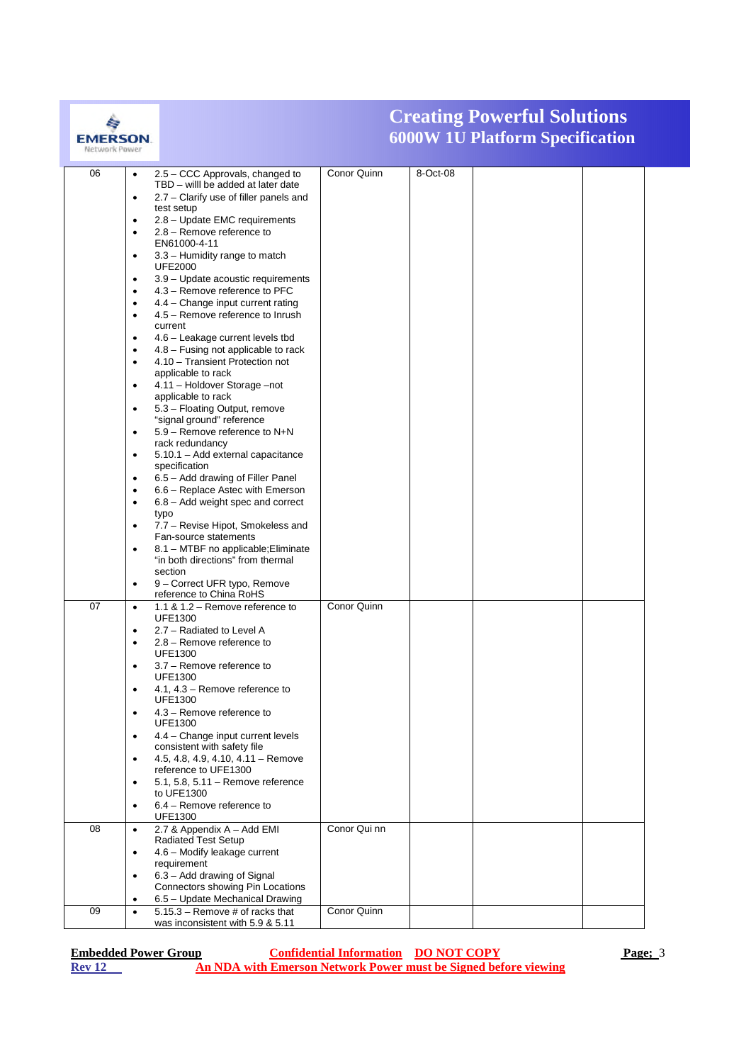

| 06 | $\bullet$ | 2.5 - CCC Approvals, changed to                                          | Conor Quinn  | 8-Oct-08 |  |  |
|----|-----------|--------------------------------------------------------------------------|--------------|----------|--|--|
|    |           | TBD - will be added at later date                                        |              |          |  |  |
|    | $\bullet$ | 2.7 – Clarify use of filler panels and                                   |              |          |  |  |
|    |           | test setup                                                               |              |          |  |  |
|    | $\bullet$ | 2.8 - Update EMC requirements                                            |              |          |  |  |
|    | $\bullet$ | 2.8 - Remove reference to                                                |              |          |  |  |
|    |           | EN61000-4-11                                                             |              |          |  |  |
|    | $\bullet$ | 3.3 - Humidity range to match                                            |              |          |  |  |
|    |           | <b>UFE2000</b>                                                           |              |          |  |  |
|    | ٠         | 3.9 - Update acoustic requirements                                       |              |          |  |  |
|    | $\bullet$ | 4.3 - Remove reference to PFC                                            |              |          |  |  |
|    | $\bullet$ | 4.4 - Change input current rating                                        |              |          |  |  |
|    | $\bullet$ | 4.5 - Remove reference to Inrush                                         |              |          |  |  |
|    |           | current                                                                  |              |          |  |  |
|    | $\bullet$ | 4.6 - Leakage current levels tbd                                         |              |          |  |  |
|    | $\bullet$ | 4.8 – Fusing not applicable to rack                                      |              |          |  |  |
|    | $\bullet$ | 4.10 - Transient Protection not                                          |              |          |  |  |
|    |           | applicable to rack                                                       |              |          |  |  |
|    | ٠         | 4.11 - Holdover Storage -not<br>applicable to rack                       |              |          |  |  |
|    | $\bullet$ | 5.3 - Floating Output, remove                                            |              |          |  |  |
|    |           | "signal ground" reference                                                |              |          |  |  |
|    | $\bullet$ | 5.9 - Remove reference to N+N                                            |              |          |  |  |
|    |           | rack redundancy                                                          |              |          |  |  |
|    | $\bullet$ | 5.10.1 - Add external capacitance                                        |              |          |  |  |
|    |           | specification                                                            |              |          |  |  |
|    | $\bullet$ | 6.5 - Add drawing of Filler Panel                                        |              |          |  |  |
|    | ٠         | 6.6 - Replace Astec with Emerson                                         |              |          |  |  |
|    | $\bullet$ | 6.8 – Add weight spec and correct                                        |              |          |  |  |
|    |           | typo                                                                     |              |          |  |  |
|    | $\bullet$ | 7.7 – Revise Hipot, Smokeless and                                        |              |          |  |  |
|    |           | Fan-source statements                                                    |              |          |  |  |
|    | $\bullet$ | 8.1 - MTBF no applicable; Eliminate<br>"in both directions" from thermal |              |          |  |  |
|    |           | section                                                                  |              |          |  |  |
|    | $\bullet$ | 9 - Correct UFR typo, Remove                                             |              |          |  |  |
|    |           | reference to China RoHS                                                  |              |          |  |  |
| 07 | $\bullet$ | 1.1 & 1.2 - Remove reference to                                          | Conor Quinn  |          |  |  |
|    |           | <b>UFE1300</b>                                                           |              |          |  |  |
|    | $\bullet$ | 2.7 - Radiated to Level A                                                |              |          |  |  |
|    | ٠         | 2.8 - Remove reference to                                                |              |          |  |  |
|    |           | <b>UFE1300</b>                                                           |              |          |  |  |
|    | ٠         | 3.7 - Remove reference to                                                |              |          |  |  |
|    |           | <b>UFE1300</b>                                                           |              |          |  |  |
|    | ٠         | 4.1, 4.3 – Remove reference to                                           |              |          |  |  |
|    |           | <b>UFE1300</b><br>4.3 – Remove reference to                              |              |          |  |  |
|    | ٠         | <b>UFE1300</b>                                                           |              |          |  |  |
|    | $\bullet$ | 4.4 - Change input current levels                                        |              |          |  |  |
|    |           | consistent with safety file                                              |              |          |  |  |
|    | $\bullet$ | 4.5, 4.8, 4.9, 4.10, 4.11 - Remove                                       |              |          |  |  |
|    |           | reference to UFE1300                                                     |              |          |  |  |
|    | $\bullet$ | 5.1, 5.8, 5.11 - Remove reference                                        |              |          |  |  |
|    |           | to UFE1300                                                               |              |          |  |  |
|    | $\bullet$ | 6.4 - Remove reference to                                                |              |          |  |  |
|    |           | <b>UFE1300</b>                                                           |              |          |  |  |
| 08 | $\bullet$ | 2.7 & Appendix A - Add EMI                                               | Conor Qui nn |          |  |  |
|    |           | Radiated Test Setup                                                      |              |          |  |  |
|    | $\bullet$ | 4.6 - Modify leakage current<br>requirement                              |              |          |  |  |
|    | $\bullet$ | 6.3 - Add drawing of Signal                                              |              |          |  |  |
|    |           | Connectors showing Pin Locations                                         |              |          |  |  |
|    |           | 6.5 - Update Mechanical Drawing                                          |              |          |  |  |
| 09 | $\bullet$ | $5.15.3$ – Remove # of racks that                                        | Conor Quinn  |          |  |  |
|    |           | was inconsistent with 5.9 & 5.11                                         |              |          |  |  |
|    |           |                                                                          |              |          |  |  |

| <b>Embedded Power Group</b> | <b>Confidential Information DO NOT COPY</b> |                                                                 | Page; 3 |
|-----------------------------|---------------------------------------------|-----------------------------------------------------------------|---------|
| <b>Rev</b> 12               |                                             | An NDA with Emerson Network Power must be Signed before viewing |         |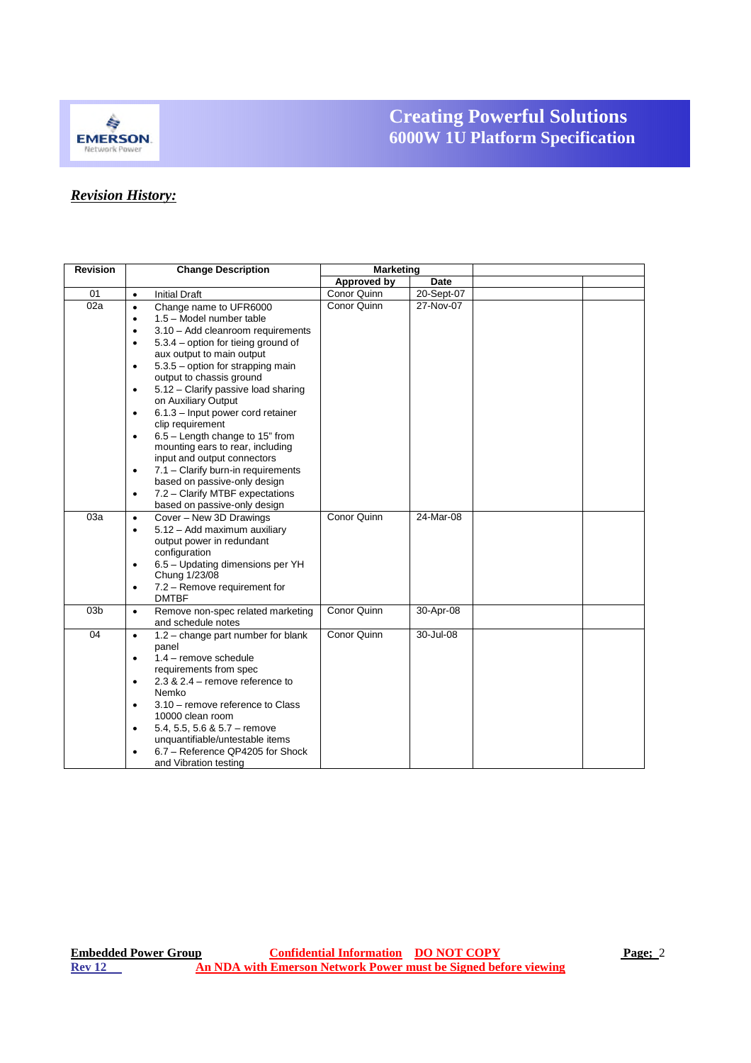

# *Revision History:*

| <b>Revision</b> | <b>Change Description</b>                                         | Marketing   |                |  |
|-----------------|-------------------------------------------------------------------|-------------|----------------|--|
|                 |                                                                   | Approved by | Date           |  |
| 01              | <b>Initial Draft</b><br>$\bullet$                                 | Conor Quinn | $20 -$ Sept-07 |  |
| 02a             | Change name to UFR6000<br>$\bullet$                               | Conor Quinn | 27-Nov-07      |  |
|                 | 1.5 - Model number table<br>$\bullet$                             |             |                |  |
|                 | 3.10 - Add cleanroom requirements<br>$\bullet$                    |             |                |  |
|                 | 5.3.4 – option for tieing ground of<br>$\bullet$                  |             |                |  |
|                 | aux output to main output                                         |             |                |  |
|                 | 5.3.5 - option for strapping main<br>$\bullet$                    |             |                |  |
|                 | output to chassis ground                                          |             |                |  |
|                 | 5.12 - Clarify passive load sharing<br>$\bullet$                  |             |                |  |
|                 | on Auxiliary Output                                               |             |                |  |
|                 | 6.1.3 - Input power cord retainer<br>$\bullet$                    |             |                |  |
|                 | clip requirement                                                  |             |                |  |
|                 | 6.5 - Length change to 15" from<br>$\bullet$                      |             |                |  |
|                 | mounting ears to rear, including                                  |             |                |  |
|                 | input and output connectors                                       |             |                |  |
|                 | 7.1 - Clarify burn-in requirements<br>$\bullet$                   |             |                |  |
|                 | based on passive-only design                                      |             |                |  |
|                 | 7.2 - Clarify MTBF expectations<br>$\bullet$                      |             |                |  |
| 03a             | based on passive-only design<br>Cover - New 3D Drawings           | Conor Quinn | 24-Mar-08      |  |
|                 | $\bullet$<br>5.12 - Add maximum auxiliary<br>$\bullet$            |             |                |  |
|                 | output power in redundant                                         |             |                |  |
|                 | configuration                                                     |             |                |  |
|                 | 6.5 - Updating dimensions per YH<br>$\bullet$                     |             |                |  |
|                 | Chung 1/23/08                                                     |             |                |  |
|                 | 7.2 - Remove requirement for<br>$\bullet$                         |             |                |  |
|                 | <b>DMTBF</b>                                                      |             |                |  |
| 03 <sub>b</sub> | Remove non-spec related marketing<br>$\bullet$                    | Conor Quinn | 30-Apr-08      |  |
|                 | and schedule notes                                                |             |                |  |
| 04              | $1.2$ – change part number for blank<br>$\bullet$                 | Conor Quinn | 30-Jul-08      |  |
|                 | panel                                                             |             |                |  |
|                 | 1.4 - remove schedule<br>$\bullet$                                |             |                |  |
|                 | requirements from spec                                            |             |                |  |
|                 | $2.3$ & $2.4$ – remove reference to<br>$\bullet$<br>Nemko         |             |                |  |
|                 |                                                                   |             |                |  |
|                 | 3.10 - remove reference to Class<br>$\bullet$<br>10000 clean room |             |                |  |
|                 | 5.4, 5.5, 5.6 & 5.7 - remove<br>$\bullet$                         |             |                |  |
|                 | unquantifiable/untestable items                                   |             |                |  |
|                 | 6.7 - Reference QP4205 for Shock<br>$\bullet$                     |             |                |  |
|                 | and Vibration testing                                             |             |                |  |
|                 |                                                                   |             |                |  |

**850W**